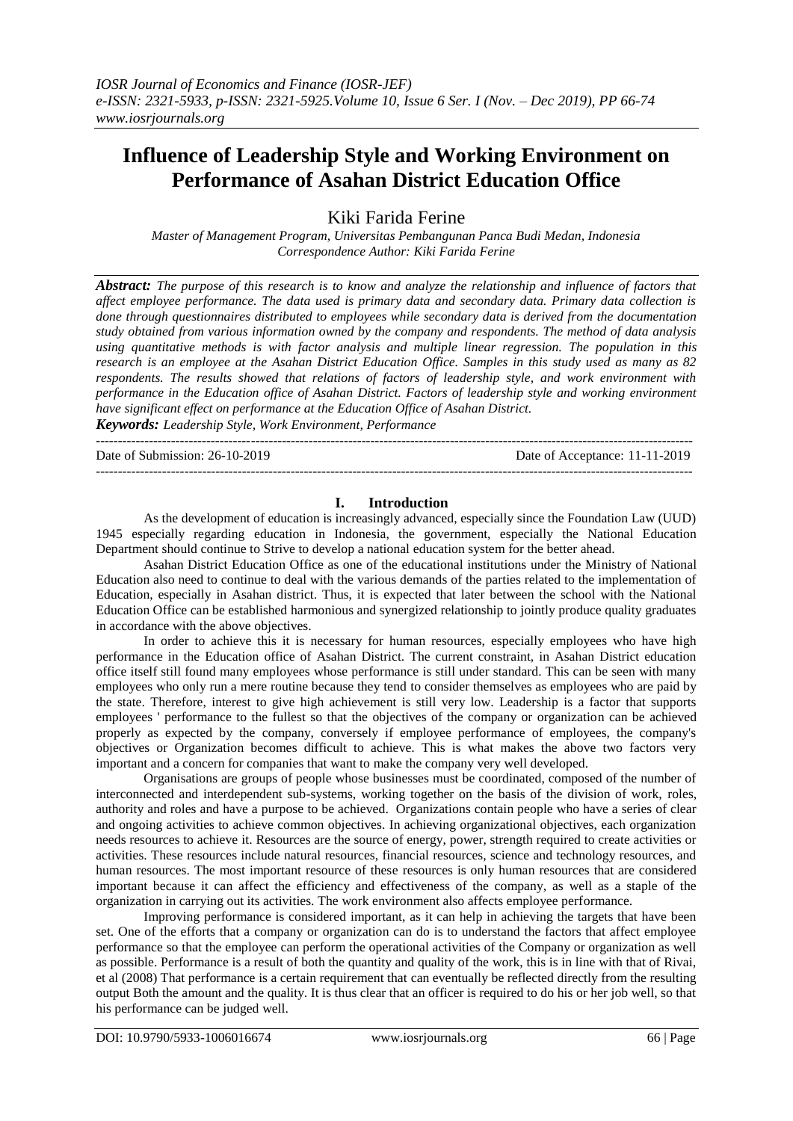# **Influence of Leadership Style and Working Environment on Performance of Asahan District Education Office**

Kiki Farida Ferine

*Master of Management Program, Universitas Pembangunan Panca Budi Medan, Indonesia Correspondence Author: Kiki Farida Ferine*

*Abstract: The purpose of this research is to know and analyze the relationship and influence of factors that affect employee performance. The data used is primary data and secondary data. Primary data collection is done through questionnaires distributed to employees while secondary data is derived from the documentation study obtained from various information owned by the company and respondents. The method of data analysis using quantitative methods is with factor analysis and multiple linear regression. The population in this research is an employee at the Asahan District Education Office. Samples in this study used as many as 82 respondents. The results showed that relations of factors of leadership style, and work environment with performance in the Education office of Asahan District. Factors of leadership style and working environment have significant effect on performance at the Education Office of Asahan District.*

*Keywords: Leadership Style, Work Environment, Performance* ---------------------------------------------------------------------------------------------------------------------------------------

Date of Submission: 26-10-2019 Date of Acceptance: 11-11-2019

**I. Introduction** As the development of education is increasingly advanced, especially since the Foundation Law (UUD) 1945 especially regarding education in Indonesia, the government, especially the National Education Department should continue to Strive to develop a national education system for the better ahead.

---------------------------------------------------------------------------------------------------------------------------------------

#### Asahan District Education Office as one of the educational institutions under the Ministry of National Education also need to continue to deal with the various demands of the parties related to the implementation of Education, especially in Asahan district. Thus, it is expected that later between the school with the National Education Office can be established harmonious and synergized relationship to jointly produce quality graduates in accordance with the above objectives.

In order to achieve this it is necessary for human resources, especially employees who have high performance in the Education office of Asahan District. The current constraint, in Asahan District education office itself still found many employees whose performance is still under standard. This can be seen with many employees who only run a mere routine because they tend to consider themselves as employees who are paid by the state. Therefore, interest to give high achievement is still very low. Leadership is a factor that supports employees ' performance to the fullest so that the objectives of the company or organization can be achieved properly as expected by the company, conversely if employee performance of employees, the company's objectives or Organization becomes difficult to achieve. This is what makes the above two factors very important and a concern for companies that want to make the company very well developed.

Organisations are groups of people whose businesses must be coordinated, composed of the number of interconnected and interdependent sub-systems, working together on the basis of the division of work, roles, authority and roles and have a purpose to be achieved. Organizations contain people who have a series of clear and ongoing activities to achieve common objectives. In achieving organizational objectives, each organization needs resources to achieve it. Resources are the source of energy, power, strength required to create activities or activities. These resources include natural resources, financial resources, science and technology resources, and human resources. The most important resource of these resources is only human resources that are considered important because it can affect the efficiency and effectiveness of the company, as well as a staple of the organization in carrying out its activities. The work environment also affects employee performance.

Improving performance is considered important, as it can help in achieving the targets that have been set. One of the efforts that a company or organization can do is to understand the factors that affect employee performance so that the employee can perform the operational activities of the Company or organization as well as possible. Performance is a result of both the quantity and quality of the work, this is in line with that of Rivai, et al (2008) That performance is a certain requirement that can eventually be reflected directly from the resulting output Both the amount and the quality. It is thus clear that an officer is required to do his or her job well, so that his performance can be judged well.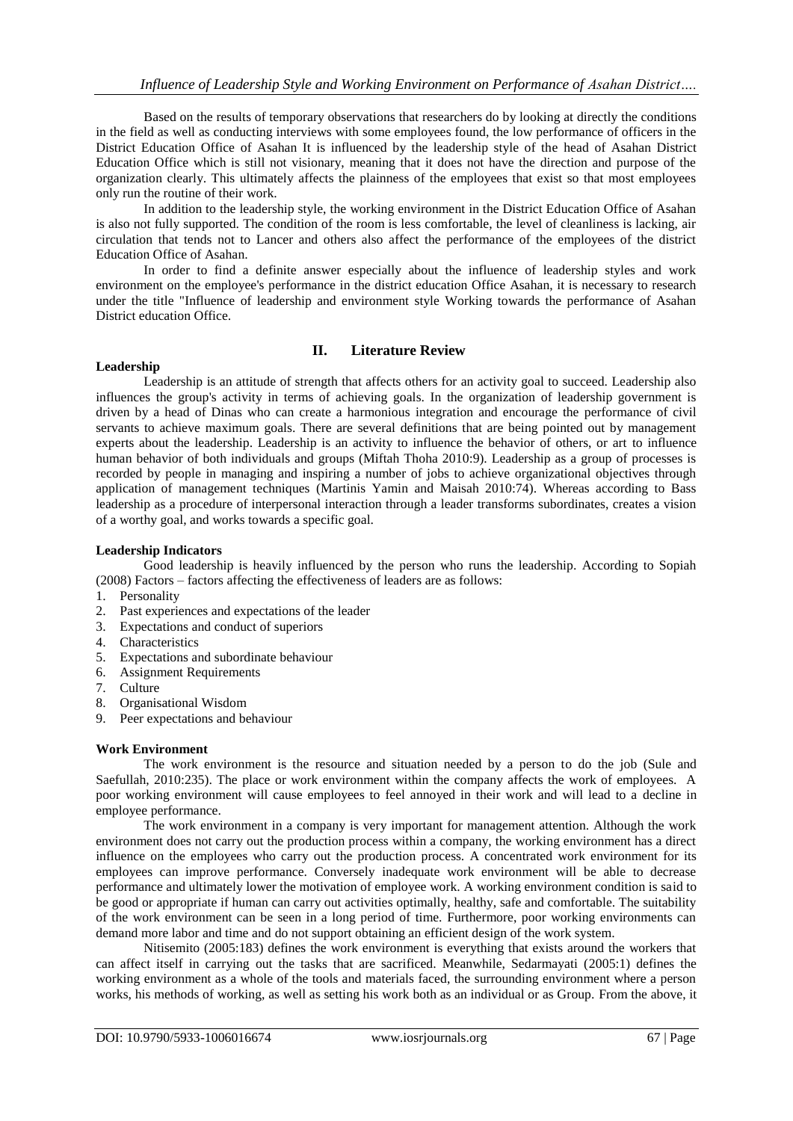Based on the results of temporary observations that researchers do by looking at directly the conditions in the field as well as conducting interviews with some employees found, the low performance of officers in the District Education Office of Asahan It is influenced by the leadership style of the head of Asahan District Education Office which is still not visionary, meaning that it does not have the direction and purpose of the organization clearly. This ultimately affects the plainness of the employees that exist so that most employees only run the routine of their work.

In addition to the leadership style, the working environment in the District Education Office of Asahan is also not fully supported. The condition of the room is less comfortable, the level of cleanliness is lacking, air circulation that tends not to Lancer and others also affect the performance of the employees of the district Education Office of Asahan.

In order to find a definite answer especially about the influence of leadership styles and work environment on the employee's performance in the district education Office Asahan, it is necessary to research under the title "Influence of leadership and environment style Working towards the performance of Asahan District education Office.

## **II. Literature Review**

#### **Leadership**

Leadership is an attitude of strength that affects others for an activity goal to succeed. Leadership also influences the group's activity in terms of achieving goals. In the organization of leadership government is driven by a head of Dinas who can create a harmonious integration and encourage the performance of civil servants to achieve maximum goals. There are several definitions that are being pointed out by management experts about the leadership. Leadership is an activity to influence the behavior of others, or art to influence human behavior of both individuals and groups (Miftah Thoha 2010:9). Leadership as a group of processes is recorded by people in managing and inspiring a number of jobs to achieve organizational objectives through application of management techniques (Martinis Yamin and Maisah 2010:74). Whereas according to Bass leadership as a procedure of interpersonal interaction through a leader transforms subordinates, creates a vision of a worthy goal, and works towards a specific goal.

#### **Leadership Indicators**

Good leadership is heavily influenced by the person who runs the leadership. According to Sopiah (2008) Factors – factors affecting the effectiveness of leaders are as follows:

- 1. Personality
- 2. Past experiences and expectations of the leader
- 3. Expectations and conduct of superiors
- 4. Characteristics
- 5. Expectations and subordinate behaviour
- 6. Assignment Requirements
- 7. Culture
- 8. Organisational Wisdom
- 9. Peer expectations and behaviour

#### **Work Environment**

The work environment is the resource and situation needed by a person to do the job (Sule and Saefullah, 2010:235). The place or work environment within the company affects the work of employees. A poor working environment will cause employees to feel annoyed in their work and will lead to a decline in employee performance.

The work environment in a company is very important for management attention. Although the work environment does not carry out the production process within a company, the working environment has a direct influence on the employees who carry out the production process. A concentrated work environment for its employees can improve performance. Conversely inadequate work environment will be able to decrease performance and ultimately lower the motivation of employee work. A working environment condition is said to be good or appropriate if human can carry out activities optimally, healthy, safe and comfortable. The suitability of the work environment can be seen in a long period of time. Furthermore, poor working environments can demand more labor and time and do not support obtaining an efficient design of the work system.

Nitisemito (2005:183) defines the work environment is everything that exists around the workers that can affect itself in carrying out the tasks that are sacrificed. Meanwhile, Sedarmayati (2005:1) defines the working environment as a whole of the tools and materials faced, the surrounding environment where a person works, his methods of working, as well as setting his work both as an individual or as Group. From the above, it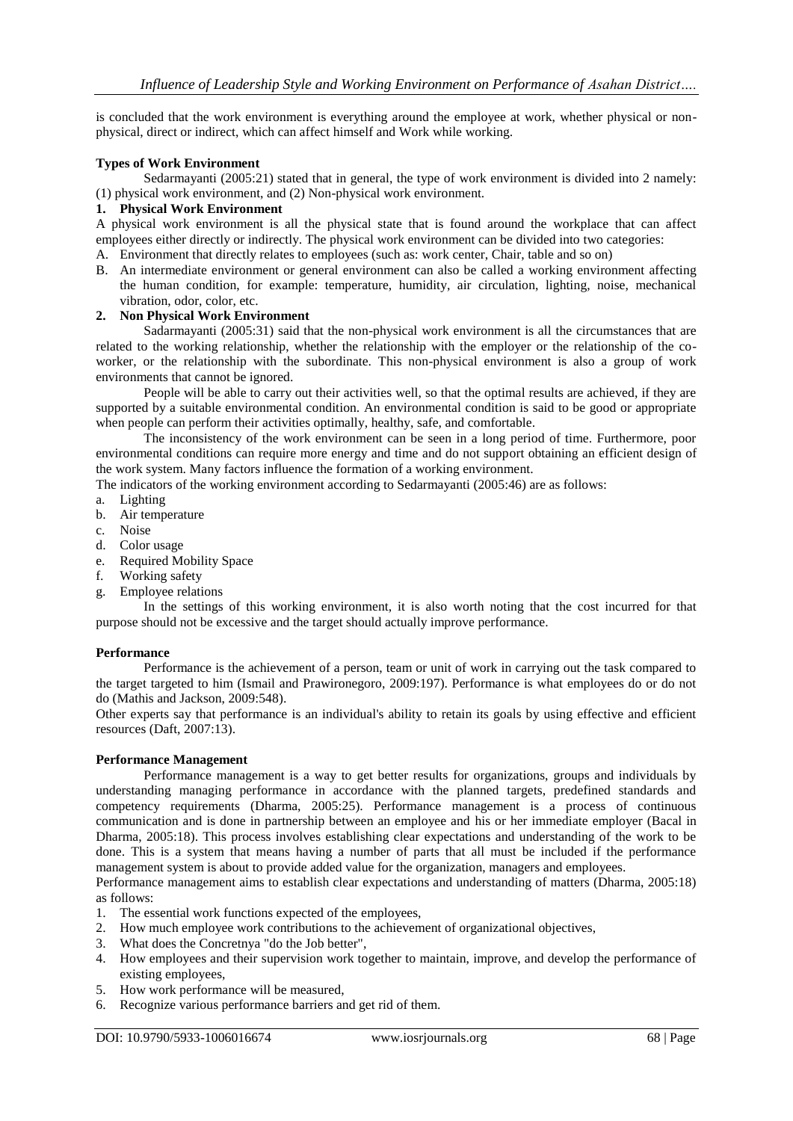is concluded that the work environment is everything around the employee at work, whether physical or nonphysical, direct or indirect, which can affect himself and Work while working.

#### **Types of Work Environment**

Sedarmayanti (2005:21) stated that in general, the type of work environment is divided into 2 namely: (1) physical work environment, and (2) Non-physical work environment.

#### **1. Physical Work Environment**

A physical work environment is all the physical state that is found around the workplace that can affect employees either directly or indirectly. The physical work environment can be divided into two categories:

- A. Environment that directly relates to employees (such as: work center, Chair, table and so on)
- B. An intermediate environment or general environment can also be called a working environment affecting the human condition, for example: temperature, humidity, air circulation, lighting, noise, mechanical vibration, odor, color, etc.

#### **2. Non Physical Work Environment**

Sadarmayanti (2005:31) said that the non-physical work environment is all the circumstances that are related to the working relationship, whether the relationship with the employer or the relationship of the coworker, or the relationship with the subordinate. This non-physical environment is also a group of work environments that cannot be ignored.

People will be able to carry out their activities well, so that the optimal results are achieved, if they are supported by a suitable environmental condition. An environmental condition is said to be good or appropriate when people can perform their activities optimally, healthy, safe, and comfortable.

The inconsistency of the work environment can be seen in a long period of time. Furthermore, poor environmental conditions can require more energy and time and do not support obtaining an efficient design of the work system. Many factors influence the formation of a working environment.

The indicators of the working environment according to Sedarmayanti (2005:46) are as follows:

- a. Lighting
- b. Air temperature
- c. Noise
- d. Color usage
- e. Required Mobility Space
- f. Working safety
- g. Employee relations

In the settings of this working environment, it is also worth noting that the cost incurred for that purpose should not be excessive and the target should actually improve performance.

#### **Performance**

Performance is the achievement of a person, team or unit of work in carrying out the task compared to the target targeted to him (Ismail and Prawironegoro, 2009:197). Performance is what employees do or do not do (Mathis and Jackson, 2009:548).

Other experts say that performance is an individual's ability to retain its goals by using effective and efficient resources (Daft, 2007:13).

#### **Performance Management**

Performance management is a way to get better results for organizations, groups and individuals by understanding managing performance in accordance with the planned targets, predefined standards and competency requirements (Dharma, 2005:25). Performance management is a process of continuous communication and is done in partnership between an employee and his or her immediate employer (Bacal in Dharma, 2005:18). This process involves establishing clear expectations and understanding of the work to be done. This is a system that means having a number of parts that all must be included if the performance management system is about to provide added value for the organization, managers and employees.

Performance management aims to establish clear expectations and understanding of matters (Dharma, 2005:18) as follows:

- 1. The essential work functions expected of the employees,
- 2. How much employee work contributions to the achievement of organizational objectives,
- 3. What does the Concretnya "do the Job better",
- 4. How employees and their supervision work together to maintain, improve, and develop the performance of existing employees,
- 5. How work performance will be measured,
- 6. Recognize various performance barriers and get rid of them.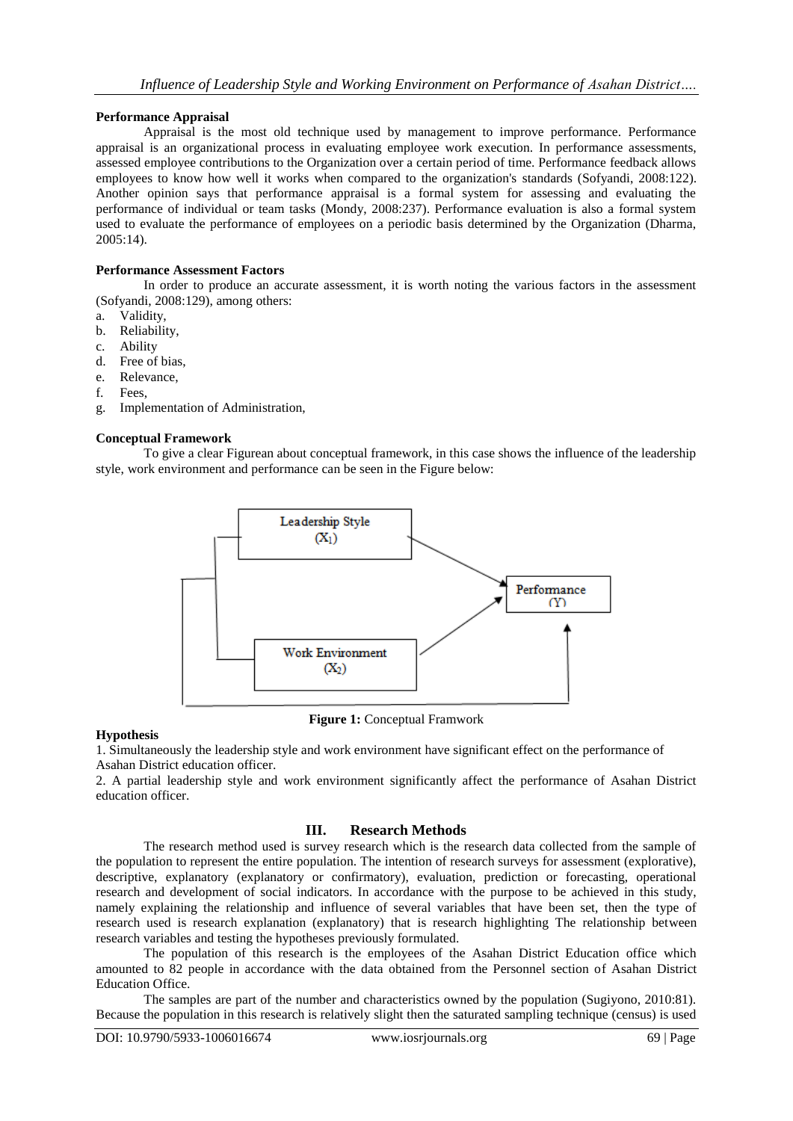## **Performance Appraisal**

Appraisal is the most old technique used by management to improve performance. Performance appraisal is an organizational process in evaluating employee work execution. In performance assessments, assessed employee contributions to the Organization over a certain period of time. Performance feedback allows employees to know how well it works when compared to the organization's standards (Sofyandi, 2008:122). Another opinion says that performance appraisal is a formal system for assessing and evaluating the performance of individual or team tasks (Mondy, 2008:237). Performance evaluation is also a formal system used to evaluate the performance of employees on a periodic basis determined by the Organization (Dharma, 2005:14).

#### **Performance Assessment Factors**

In order to produce an accurate assessment, it is worth noting the various factors in the assessment (Sofyandi, 2008:129), among others:

- a. Validity,
- b. Reliability,
- c. Ability
- d. Free of bias,
- e. Relevance,
- f. Fees,
- g. Implementation of Administration,

#### **Conceptual Framework**

To give a clear Figurean about conceptual framework, in this case shows the influence of the leadership style, work environment and performance can be seen in the Figure below:



**Figure 1:** Conceptual Framwork

#### **Hypothesis**

1. Simultaneously the leadership style and work environment have significant effect on the performance of Asahan District education officer.

2. A partial leadership style and work environment significantly affect the performance of Asahan District education officer.

## **III. Research Methods**

The research method used is survey research which is the research data collected from the sample of the population to represent the entire population. The intention of research surveys for assessment (explorative), descriptive, explanatory (explanatory or confirmatory), evaluation, prediction or forecasting, operational research and development of social indicators. In accordance with the purpose to be achieved in this study, namely explaining the relationship and influence of several variables that have been set, then the type of research used is research explanation (explanatory) that is research highlighting The relationship between research variables and testing the hypotheses previously formulated.

The population of this research is the employees of the Asahan District Education office which amounted to 82 people in accordance with the data obtained from the Personnel section of Asahan District Education Office.

The samples are part of the number and characteristics owned by the population (Sugiyono, 2010:81). Because the population in this research is relatively slight then the saturated sampling technique (census) is used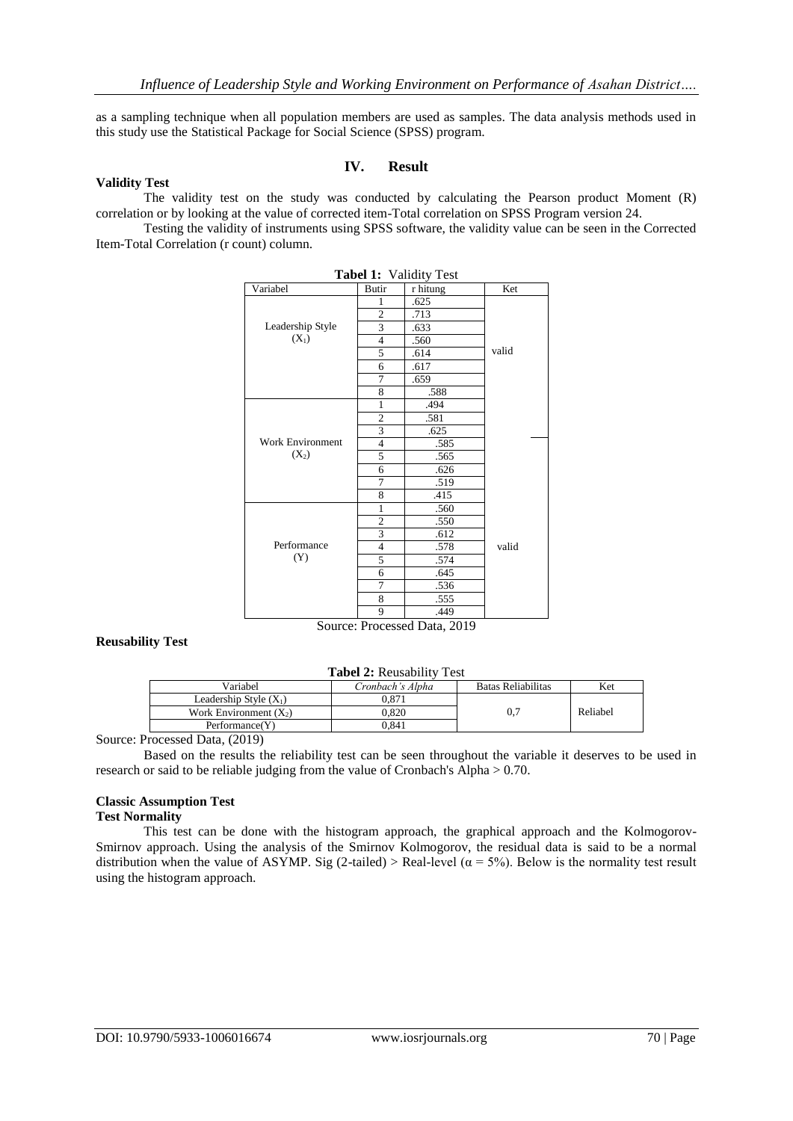as a sampling technique when all population members are used as samples. The data analysis methods used in this study use the Statistical Package for Social Science (SPSS) program.

#### **IV. Result**

#### **Validity Test**

The validity test on the study was conducted by calculating the Pearson product Moment (R) correlation or by looking at the value of corrected item-Total correlation on SPSS Program version 24.

Testing the validity of instruments using SPSS software, the validity value can be seen in the Corrected Item-Total Correlation (r count) column.

| Variabel                | Butir          | Tabel 1: Validity Test<br>r hitung | Ket   |
|-------------------------|----------------|------------------------------------|-------|
|                         | 1              | .625                               |       |
|                         | $\overline{2}$ | .713                               |       |
| Leadership Style        | 3              | .633                               |       |
| $(X_1)$                 | $\overline{4}$ | .560                               |       |
|                         | 5              | .614                               | valid |
|                         | 6              | .617                               |       |
|                         | 7              | .659                               |       |
|                         | 8              | .588                               |       |
|                         | 1              | .494                               |       |
|                         | $\overline{c}$ | .581                               |       |
|                         | 3              | .625                               |       |
| <b>Work Environment</b> | $\overline{4}$ | .585                               |       |
| $(X_2)$                 | 5              | .565                               |       |
|                         | 6              | .626                               |       |
|                         | $\overline{7}$ | .519                               |       |
|                         | 8              | .415                               |       |
|                         | $\mathbf{1}$   | .560                               |       |
|                         | $\overline{c}$ | .550                               |       |
|                         | 3              | .612                               |       |
| Performance             | $\overline{4}$ | .578                               | valid |
| (Y)                     | 5              | .574                               |       |
|                         | 6              | .645                               |       |
|                         | 7              | .536                               |       |
|                         | 8              | .555                               |       |
|                         | 9              | .449                               |       |

#### **Reusability Test**

#### **Tabel 2:** Reusability Test

| Variabel                 | Cronbach's Alpha | Batas Reliabilitas | Ket      |  |
|--------------------------|------------------|--------------------|----------|--|
| Leadership Style $(X_1)$ | $0.87^{\circ}$   |                    |          |  |
| Work Environment $(X_2)$ | 0.820            |                    | Reliabel |  |
| Performance(Y)           | 0.841            |                    |          |  |

Source: Processed Data, (2019)

Based on the results the reliability test can be seen throughout the variable it deserves to be used in research or said to be reliable judging from the value of Cronbach's Alpha > 0.70.

#### **Classic Assumption Test Test Normality**

This test can be done with the histogram approach, the graphical approach and the Kolmogorov-Smirnov approach. Using the analysis of the Smirnov Kolmogorov, the residual data is said to be a normal distribution when the value of ASYMP. Sig (2-tailed) > Real-level ( $\alpha = 5\%$ ). Below is the normality test result using the histogram approach.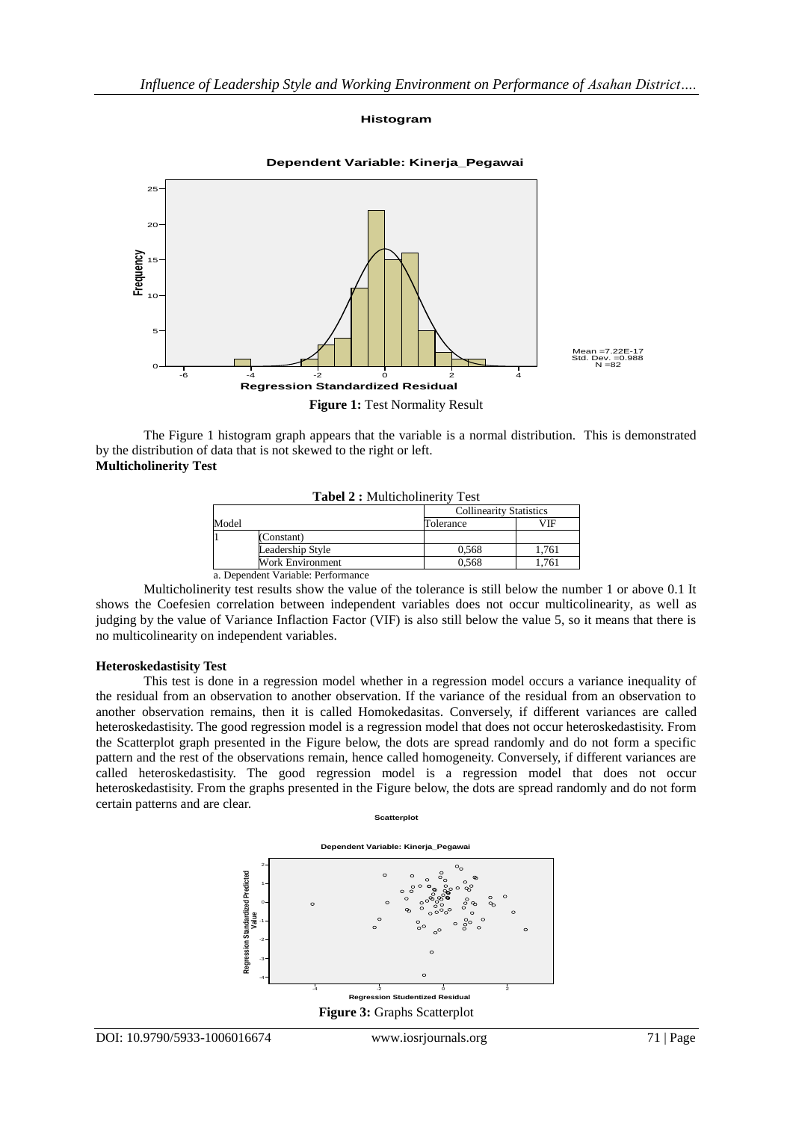#### **Histogram**



**Dependent Variable: Kinerja\_Pegawai**

The Figure 1 histogram graph appears that the variable is a normal distribution. This is demonstrated by the distribution of data that is not skewed to the right or left. **Multicholinerity Test**

| Model |                  | <b>Collinearity Statistics</b> |       |
|-------|------------------|--------------------------------|-------|
|       |                  | Tolerance                      | VIF   |
|       | (Constant)       |                                |       |
|       | Leadership Style | 0.568                          | 1.761 |
|       | Work Environment | 0.568                          | 1.761 |

Multicholinerity test results show the value of the tolerance is still below the number 1 or above 0.1 It shows the Coefesien correlation between independent variables does not occur multicolinearity, as well as judging by the value of Variance Inflaction Factor (VIF) is also still below the value 5, so it means that there is no multicolinearity on independent variables.

#### **Heteroskedastisity Test**

This test is done in a regression model whether in a regression model occurs a variance inequality of the residual from an observation to another observation. If the variance of the residual from an observation to another observation remains, then it is called Homokedasitas. Conversely, if different variances are called heteroskedastisity. The good regression model is a regression model that does not occur heteroskedastisity. From the Scatterplot graph presented in the Figure below, the dots are spread randomly and do not form a specific pattern and the rest of the observations remain, hence called homogeneity. Conversely, if different variances are called heteroskedastisity. The good regression model is a regression model that does not occur heteroskedastisity. From the graphs presented in the Figure below, the dots are spread randomly and do not form certain patterns and are clear.

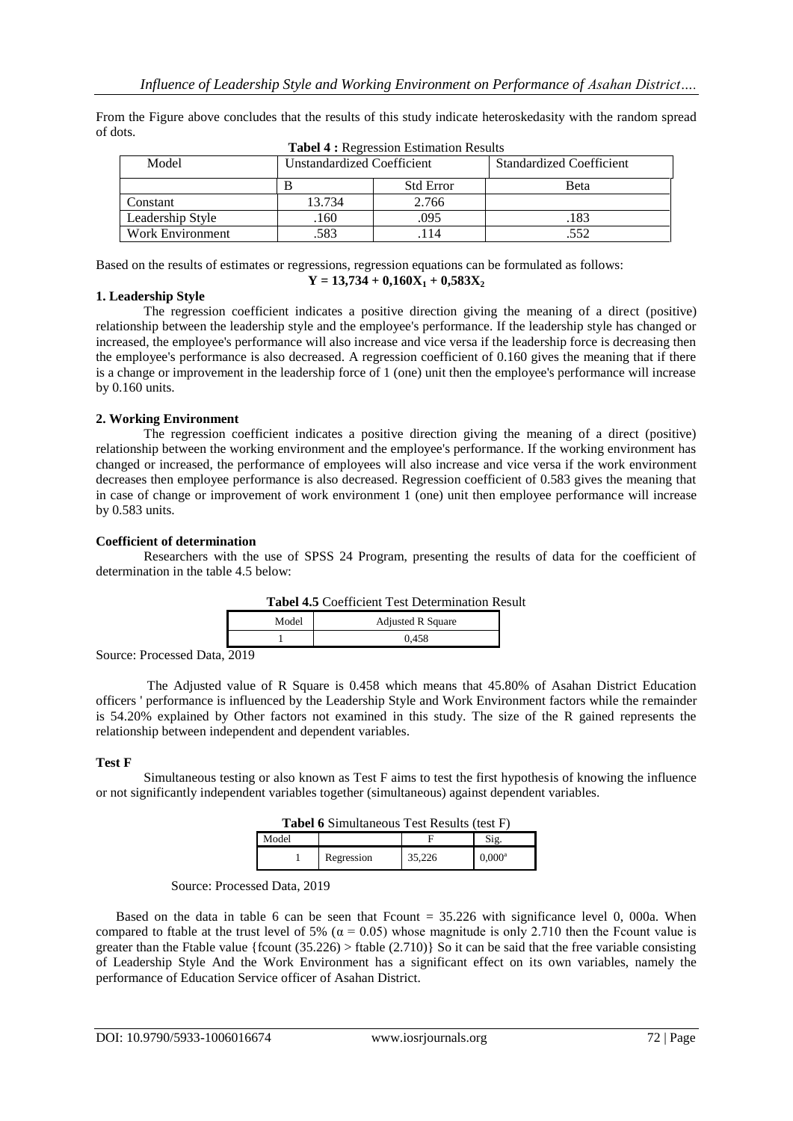From the Figure above concludes that the results of this study indicate heteroskedasity with the random spread of dots.

| <b>Tabel 4 : Regression Estimation Results</b> |                            |                  |                                 |  |
|------------------------------------------------|----------------------------|------------------|---------------------------------|--|
| Model                                          | Unstandardized Coefficient |                  | <b>Standardized Coefficient</b> |  |
|                                                | В                          | <b>Std Error</b> | Beta                            |  |
| Constant                                       | 13.734                     | 2.766            |                                 |  |
| Leadership Style                               | .160                       | .095             | .183                            |  |
| <b>Work Environment</b>                        | .583                       | 114              | .552                            |  |

Based on the results of estimates or regressions, regression equations can be formulated as follows:

#### **1. Leadership Style**

The regression coefficient indicates a positive direction giving the meaning of a direct (positive) relationship between the leadership style and the employee's performance. If the leadership style has changed or increased, the employee's performance will also increase and vice versa if the leadership force is decreasing then the employee's performance is also decreased. A regression coefficient of 0.160 gives the meaning that if there is a change or improvement in the leadership force of 1 (one) unit then the employee's performance will increase by 0.160 units.

 $Y = 13,734 + 0,160X_1 + 0,583X_2$ 

#### **2. Working Environment**

The regression coefficient indicates a positive direction giving the meaning of a direct (positive) relationship between the working environment and the employee's performance. If the working environment has changed or increased, the performance of employees will also increase and vice versa if the work environment decreases then employee performance is also decreased. Regression coefficient of 0.583 gives the meaning that in case of change or improvement of work environment 1 (one) unit then employee performance will increase by 0.583 units.

#### **Coefficient of determination**

Researchers with the use of SPSS 24 Program, presenting the results of data for the coefficient of determination in the table 4.5 below:

| <b>Tabel 4.5</b> Coefficient Test Determination Result |                          |  |  |
|--------------------------------------------------------|--------------------------|--|--|
| Model                                                  | <b>Adjusted R Square</b> |  |  |
|                                                        | 0.458                    |  |  |

Source: Processed Data, 2019

The Adjusted value of R Square is 0.458 which means that 45.80% of Asahan District Education officers ' performance is influenced by the Leadership Style and Work Environment factors while the remainder is 54.20% explained by Other factors not examined in this study. The size of the R gained represents the relationship between independent and dependent variables.

#### **Test F**

Simultaneous testing or also known as Test F aims to test the first hypothesis of knowing the influence or not significantly independent variables together (simultaneous) against dependent variables.

| <b>Tabel 6</b> Simultaneous Test Results (test F) |  |
|---------------------------------------------------|--|
|---------------------------------------------------|--|

| Model |            |        |                 |
|-------|------------|--------|-----------------|
|       | Regression | 35.226 | $0,000^{\rm a}$ |

Source: Processed Data, 2019

Based on the data in table 6 can be seen that Fcount  $= 35.226$  with significance level 0, 000a. When compared to ftable at the trust level of 5% ( $\alpha$  = 0.05) whose magnitude is only 2.710 then the Fcount value is greater than the Ftable value {fcount  $(35.226)$  > ftable  $(2.710)$ } So it can be said that the free variable consisting of Leadership Style And the Work Environment has a significant effect on its own variables, namely the performance of Education Service officer of Asahan District.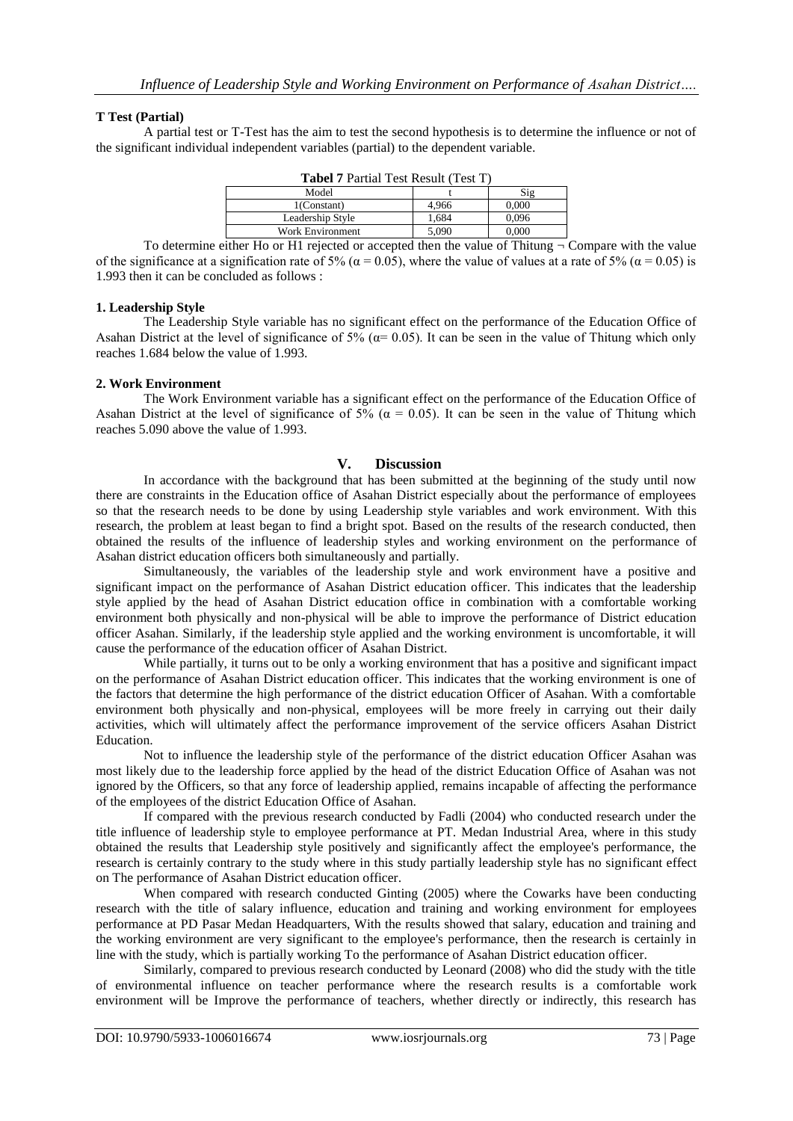## **T Test (Partial)**

A partial test or T-Test has the aim to test the second hypothesis is to determine the influence or not of the significant individual independent variables (partial) to the dependent variable.

| <b>Tabel 7 Partial Test Result (Test T)</b> |       |       |  |
|---------------------------------------------|-------|-------|--|
| Model                                       |       | Sig   |  |
| $1$ (Constant)                              | 4.966 | 0.000 |  |
| Leadership Style                            | 1,684 | 0.096 |  |
| <b>Work Environment</b>                     | 5.090 | 0.000 |  |
|                                             |       |       |  |

To determine either Ho or H1 rejected or accepted then the value of Thitung  $\neg$  Compare with the value of the significance at a signification rate of 5% ( $\alpha$  = 0.05), where the value of values at a rate of 5% ( $\alpha$  = 0.05) is 1.993 then it can be concluded as follows :

#### **1. Leadership Style**

The Leadership Style variable has no significant effect on the performance of the Education Office of Asahan District at the level of significance of 5% ( $\alpha$ = 0.05). It can be seen in the value of Thitung which only reaches 1.684 below the value of 1.993.

#### **2. Work Environment**

The Work Environment variable has a significant effect on the performance of the Education Office of Asahan District at the level of significance of 5% ( $\alpha$  = 0.05). It can be seen in the value of Thitung which reaches 5.090 above the value of 1.993.

#### **V. Discussion**

In accordance with the background that has been submitted at the beginning of the study until now there are constraints in the Education office of Asahan District especially about the performance of employees so that the research needs to be done by using Leadership style variables and work environment. With this research, the problem at least began to find a bright spot. Based on the results of the research conducted, then obtained the results of the influence of leadership styles and working environment on the performance of Asahan district education officers both simultaneously and partially.

Simultaneously, the variables of the leadership style and work environment have a positive and significant impact on the performance of Asahan District education officer. This indicates that the leadership style applied by the head of Asahan District education office in combination with a comfortable working environment both physically and non-physical will be able to improve the performance of District education officer Asahan. Similarly, if the leadership style applied and the working environment is uncomfortable, it will cause the performance of the education officer of Asahan District.

While partially, it turns out to be only a working environment that has a positive and significant impact on the performance of Asahan District education officer. This indicates that the working environment is one of the factors that determine the high performance of the district education Officer of Asahan. With a comfortable environment both physically and non-physical, employees will be more freely in carrying out their daily activities, which will ultimately affect the performance improvement of the service officers Asahan District Education.

Not to influence the leadership style of the performance of the district education Officer Asahan was most likely due to the leadership force applied by the head of the district Education Office of Asahan was not ignored by the Officers, so that any force of leadership applied, remains incapable of affecting the performance of the employees of the district Education Office of Asahan.

If compared with the previous research conducted by Fadli (2004) who conducted research under the title influence of leadership style to employee performance at PT. Medan Industrial Area, where in this study obtained the results that Leadership style positively and significantly affect the employee's performance, the research is certainly contrary to the study where in this study partially leadership style has no significant effect on The performance of Asahan District education officer.

When compared with research conducted Ginting (2005) where the Cowarks have been conducting research with the title of salary influence, education and training and working environment for employees performance at PD Pasar Medan Headquarters, With the results showed that salary, education and training and the working environment are very significant to the employee's performance, then the research is certainly in line with the study, which is partially working To the performance of Asahan District education officer.

Similarly, compared to previous research conducted by Leonard (2008) who did the study with the title of environmental influence on teacher performance where the research results is a comfortable work environment will be Improve the performance of teachers, whether directly or indirectly, this research has